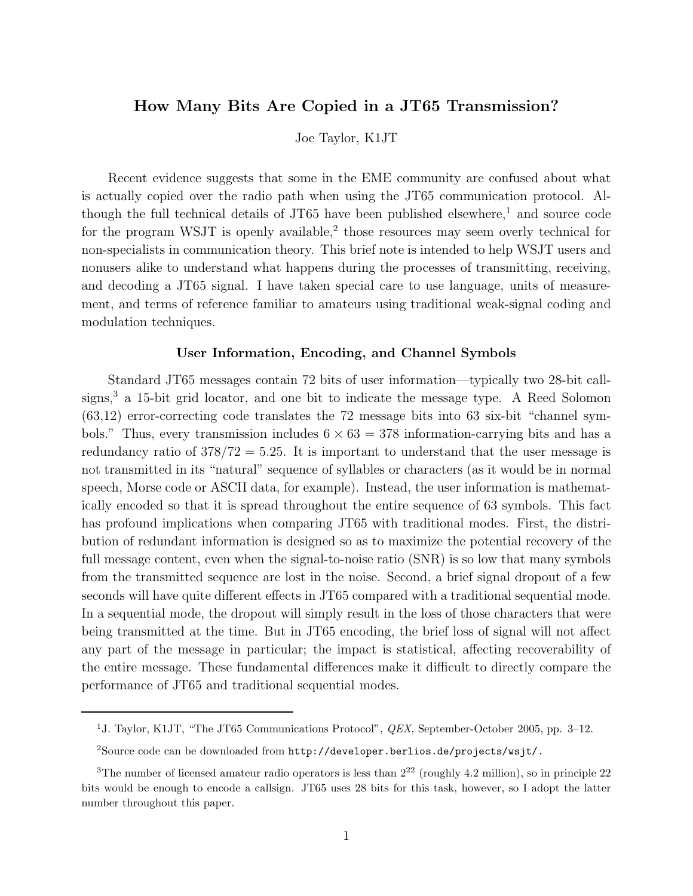# **How Many Bits Are Copied in a JT65 Transmission?**

Joe Taylor, K1JT

Recent evidence suggests that some in the EME community are confused about what is actually copied over the radio path when using the JT65 communication protocol. Although the full technical details of JT65 have been published elsewhere,<sup>1</sup> and source code for the program WSJT is openly available,<sup>2</sup> those resources may seem overly technical for non-specialists in communication theory. This brief note is intended to help WSJT users and nonusers alike to understand what happens during the processes of transmitting, receiving, and decoding a JT65 signal. I have taken special care to use language, units of measurement, and terms of reference familiar to amateurs using traditional weak-signal coding and modulation techniques.

#### **User Information, Encoding, and Channel Symbols**

Standard JT65 messages contain 72 bits of user information—typically two 28-bit callsigns, $3$  a 15-bit grid locator, and one bit to indicate the message type. A Reed Solomon (63,12) error-correcting code translates the 72 message bits into 63 six-bit "channel symbols." Thus, every transmission includes  $6 \times 63 = 378$  information-carrying bits and has a redundancy ratio of 378*/*72 = 5*.*25. It is important to understand that the user message is not transmitted in its "natural" sequence of syllables or characters (as it would be in normal speech, Morse code or ASCII data, for example). Instead, the user information is mathematically encoded so that it is spread throughout the entire sequence of 63 symbols. This fact has profound implications when comparing JT65 with traditional modes. First, the distribution of redundant information is designed so as to maximize the potential recovery of the full message content, even when the signal-to-noise ratio (SNR) is so low that many symbols from the transmitted sequence are lost in the noise. Second, a brief signal dropout of a few seconds will have quite different effects in JT65 compared with a traditional sequential mode. In a sequential mode, the dropout will simply result in the loss of those characters that were being transmitted at the time. But in JT65 encoding, the brief loss of signal will not affect any part of the message in particular; the impact is statistical, affecting recoverability of the entire message. These fundamental differences make it difficult to directly compare the performance of JT65 and traditional sequential modes.

<sup>1</sup>J. Taylor, K1JT, "The JT65 Communications Protocol", *QEX*, September-October 2005, pp. 3–12.

<sup>2</sup>Source code can be downloaded from http://developer.berlios.de/projects/wsjt/.

<sup>&</sup>lt;sup>3</sup>The number of licensed amateur radio operators is less than  $2^{22}$  (roughly 4.2 million), so in principle 22 bits would be enough to encode a callsign. JT65 uses 28 bits for this task, however, so I adopt the latter number throughout this paper.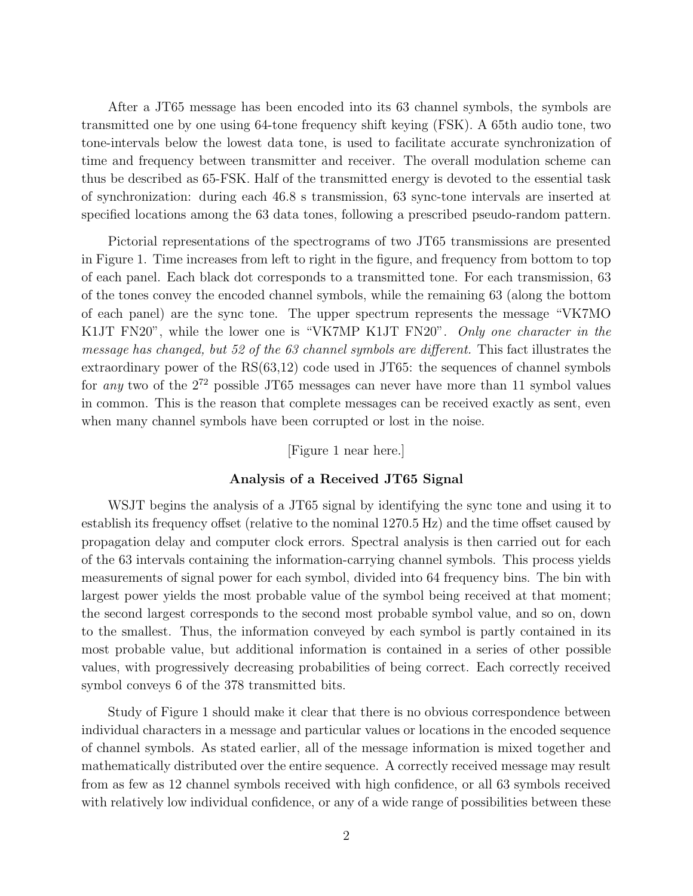After a JT65 message has been encoded into its 63 channel symbols, the symbols are transmitted one by one using 64-tone frequency shift keying (FSK). A 65th audio tone, two tone-intervals below the lowest data tone, is used to facilitate accurate synchronization of time and frequency between transmitter and receiver. The overall modulation scheme can thus be described as 65-FSK. Half of the transmitted energy is devoted to the essential task of synchronization: during each 46.8 s transmission, 63 sync-tone intervals are inserted at specified locations among the 63 data tones, following a prescribed pseudo-random pattern.

Pictorial representations of the spectrograms of two JT65 transmissions are presented in Figure 1. Time increases from left to right in the figure, and frequency from bottom to top of each panel. Each black dot corresponds to a transmitted tone. For each transmission, 63 of the tones convey the encoded channel symbols, while the remaining 63 (along the bottom of each panel) are the sync tone. The upper spectrum represents the message "VK7MO K1JT FN20", while the lower one is "VK7MP K1JT FN20". Only one character in the message has changed, but 52 of the 63 channel symbols are different. This fact illustrates the extraordinary power of the RS(63,12) code used in JT65: the sequences of channel symbols for any two of the  $2^{72}$  possible JT65 messages can never have more than 11 symbol values in common. This is the reason that complete messages can be received exactly as sent, even when many channel symbols have been corrupted or lost in the noise.

# [Figure 1 near here.]

#### **Analysis of a Received JT65 Signal**

WSJT begins the analysis of a JT65 signal by identifying the sync tone and using it to establish its frequency offset (relative to the nominal 1270.5 Hz) and the time offset caused by propagation delay and computer clock errors. Spectral analysis is then carried out for each of the 63 intervals containing the information-carrying channel symbols. This process yields measurements of signal power for each symbol, divided into 64 frequency bins. The bin with largest power yields the most probable value of the symbol being received at that moment; the second largest corresponds to the second most probable symbol value, and so on, down to the smallest. Thus, the information conveyed by each symbol is partly contained in its most probable value, but additional information is contained in a series of other possible values, with progressively decreasing probabilities of being correct. Each correctly received symbol conveys 6 of the 378 transmitted bits.

Study of Figure 1 should make it clear that there is no obvious correspondence between individual characters in a message and particular values or locations in the encoded sequence of channel symbols. As stated earlier, all of the message information is mixed together and mathematically distributed over the entire sequence. A correctly received message may result from as few as 12 channel symbols received with high confidence, or all 63 symbols received with relatively low individual confidence, or any of a wide range of possibilities between these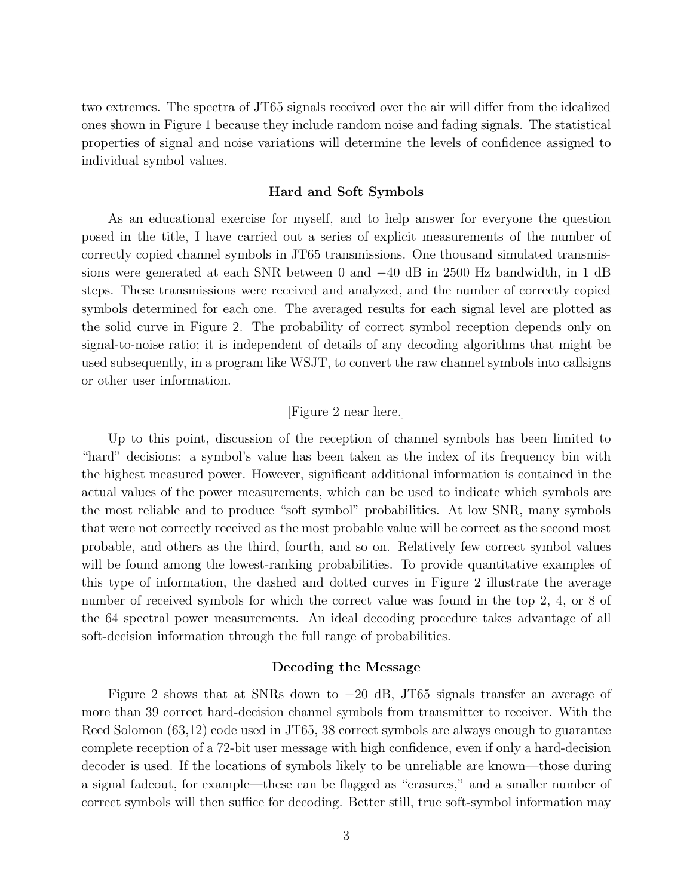two extremes. The spectra of JT65 signals received over the air will differ from the idealized ones shown in Figure 1 because they include random noise and fading signals. The statistical properties of signal and noise variations will determine the levels of confidence assigned to individual symbol values.

# **Hard and Soft Symbols**

As an educational exercise for myself, and to help answer for everyone the question posed in the title, I have carried out a series of explicit measurements of the number of correctly copied channel symbols in JT65 transmissions. One thousand simulated transmissions were generated at each SNR between 0 and *−*40 dB in 2500 Hz bandwidth, in 1 dB steps. These transmissions were received and analyzed, and the number of correctly copied symbols determined for each one. The averaged results for each signal level are plotted as the solid curve in Figure 2. The probability of correct symbol reception depends only on signal-to-noise ratio; it is independent of details of any decoding algorithms that might be used subsequently, in a program like WSJT, to convert the raw channel symbols into callsigns or other user information.

# [Figure 2 near here.]

Up to this point, discussion of the reception of channel symbols has been limited to "hard" decisions: a symbol's value has been taken as the index of its frequency bin with the highest measured power. However, significant additional information is contained in the actual values of the power measurements, which can be used to indicate which symbols are the most reliable and to produce "soft symbol" probabilities. At low SNR, many symbols that were not correctly received as the most probable value will be correct as the second most probable, and others as the third, fourth, and so on. Relatively few correct symbol values will be found among the lowest-ranking probabilities. To provide quantitative examples of this type of information, the dashed and dotted curves in Figure 2 illustrate the average number of received symbols for which the correct value was found in the top 2, 4, or 8 of the 64 spectral power measurements. An ideal decoding procedure takes advantage of all soft-decision information through the full range of probabilities.

#### **Decoding the Message**

Figure 2 shows that at SNRs down to *−*20 dB, JT65 signals transfer an average of more than 39 correct hard-decision channel symbols from transmitter to receiver. With the Reed Solomon (63,12) code used in JT65, 38 correct symbols are always enough to guarantee complete reception of a 72-bit user message with high confidence, even if only a hard-decision decoder is used. If the locations of symbols likely to be unreliable are known—those during a signal fadeout, for example—these can be flagged as "erasures," and a smaller number of correct symbols will then suffice for decoding. Better still, true soft-symbol information may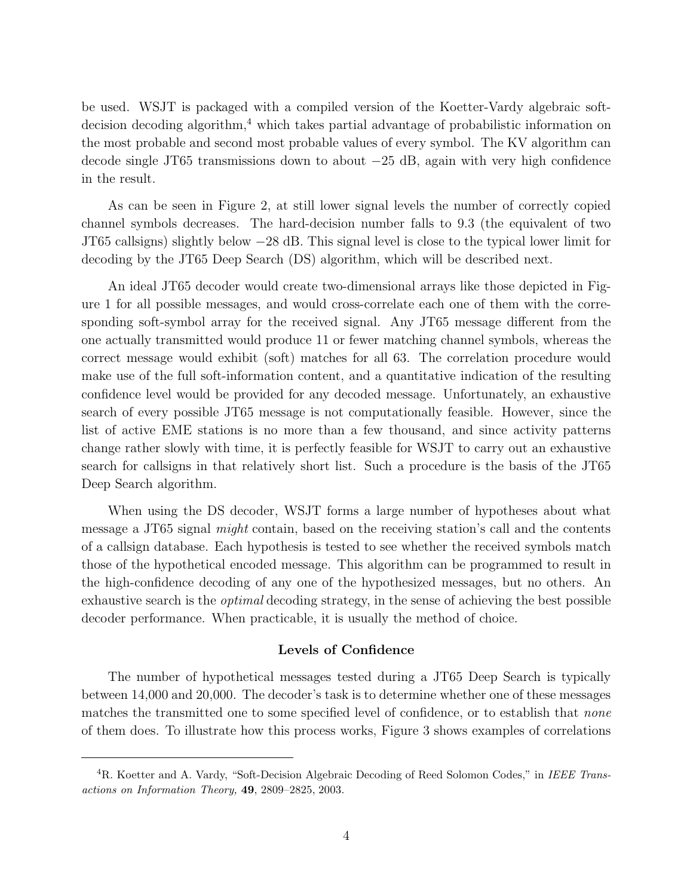be used. WSJT is packaged with a compiled version of the Koetter-Vardy algebraic softdecision decoding algorithm,<sup>4</sup> which takes partial advantage of probabilistic information on the most probable and second most probable values of every symbol. The KV algorithm can decode single JT65 transmissions down to about *−*25 dB, again with very high confidence in the result.

As can be seen in Figure 2, at still lower signal levels the number of correctly copied channel symbols decreases. The hard-decision number falls to 9.3 (the equivalent of two JT65 callsigns) slightly below *−*28 dB. This signal level is close to the typical lower limit for decoding by the JT65 Deep Search (DS) algorithm, which will be described next.

An ideal JT65 decoder would create two-dimensional arrays like those depicted in Figure 1 for all possible messages, and would cross-correlate each one of them with the corresponding soft-symbol array for the received signal. Any JT65 message different from the one actually transmitted would produce 11 or fewer matching channel symbols, whereas the correct message would exhibit (soft) matches for all 63. The correlation procedure would make use of the full soft-information content, and a quantitative indication of the resulting confidence level would be provided for any decoded message. Unfortunately, an exhaustive search of every possible JT65 message is not computationally feasible. However, since the list of active EME stations is no more than a few thousand, and since activity patterns change rather slowly with time, it is perfectly feasible for WSJT to carry out an exhaustive search for callsigns in that relatively short list. Such a procedure is the basis of the JT65 Deep Search algorithm.

When using the DS decoder, WSJT forms a large number of hypotheses about what message a JT65 signal might contain, based on the receiving station's call and the contents of a callsign database. Each hypothesis is tested to see whether the received symbols match those of the hypothetical encoded message. This algorithm can be programmed to result in the high-confidence decoding of any one of the hypothesized messages, but no others. An exhaustive search is the optimal decoding strategy, in the sense of achieving the best possible decoder performance. When practicable, it is usually the method of choice.

# **Levels of Confidence**

The number of hypothetical messages tested during a JT65 Deep Search is typically between 14,000 and 20,000. The decoder's task is to determine whether one of these messages matches the transmitted one to some specified level of confidence, or to establish that none of them does. To illustrate how this process works, Figure 3 shows examples of correlations

<sup>4</sup>R. Koetter and A. Vardy, "Soft-Decision Algebraic Decoding of Reed Solomon Codes," in *IEEE Transactions on Information Theory,* **49**, 2809–2825, 2003.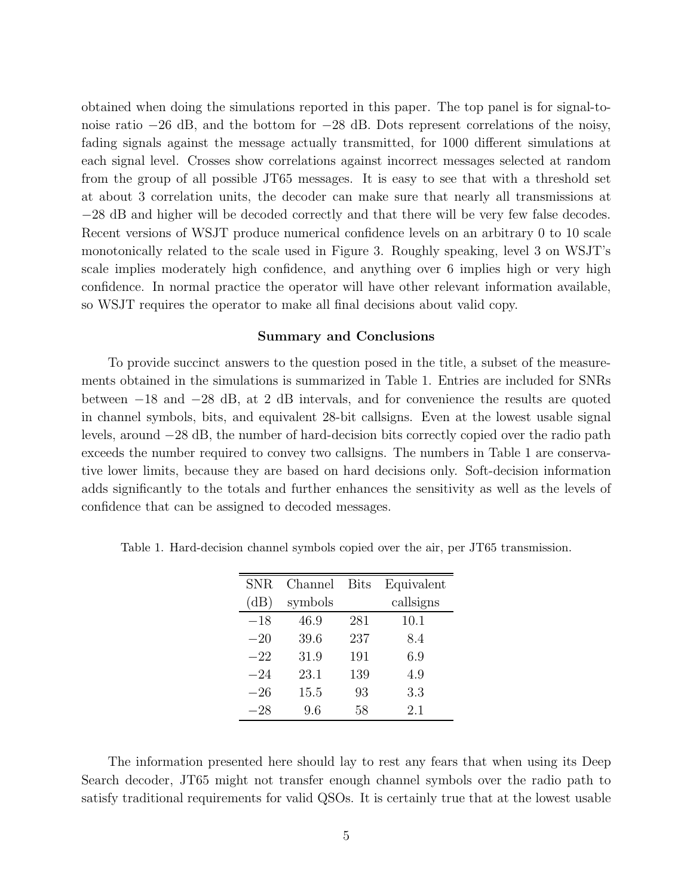obtained when doing the simulations reported in this paper. The top panel is for signal-tonoise ratio *−*26 dB, and the bottom for *−*28 dB. Dots represent correlations of the noisy, fading signals against the message actually transmitted, for 1000 different simulations at each signal level. Crosses show correlations against incorrect messages selected at random from the group of all possible JT65 messages. It is easy to see that with a threshold set at about 3 correlation units, the decoder can make sure that nearly all transmissions at *−*28 dB and higher will be decoded correctly and that there will be very few false decodes. Recent versions of WSJT produce numerical confidence levels on an arbitrary 0 to 10 scale monotonically related to the scale used in Figure 3. Roughly speaking, level 3 on WSJT's scale implies moderately high confidence, and anything over 6 implies high or very high confidence. In normal practice the operator will have other relevant information available, so WSJT requires the operator to make all final decisions about valid copy.

#### **Summary and Conclusions**

To provide succinct answers to the question posed in the title, a subset of the measurements obtained in the simulations is summarized in Table 1. Entries are included for SNRs between *−*18 and *−*28 dB, at 2 dB intervals, and for convenience the results are quoted in channel symbols, bits, and equivalent 28-bit callsigns. Even at the lowest usable signal levels, around *−*28 dB, the number of hard-decision bits correctly copied over the radio path exceeds the number required to convey two callsigns. The numbers in Table 1 are conservative lower limits, because they are based on hard decisions only. Soft-decision information adds significantly to the totals and further enhances the sensitivity as well as the levels of confidence that can be assigned to decoded messages.

| <b>SNR</b> | Channel | <b>Bits</b> | Equivalent |
|------------|---------|-------------|------------|
| (dB)       | symbols |             | callsigns  |
| $-18$      | 46.9    | 281         | 10.1       |
| $-20$      | 39.6    | 237         | 8.4        |
| $-22$      | 31.9    | 191         | 6.9        |
| $-24$      | 23.1    | 139         | 4.9        |
| $-26$      | 15.5    | 93          | 3.3        |
| –28        | 9.6     | 58          | 2.1        |

Table 1. Hard-decision channel symbols copied over the air, per JT65 transmission.

The information presented here should lay to rest any fears that when using its Deep Search decoder, JT65 might not transfer enough channel symbols over the radio path to satisfy traditional requirements for valid QSOs. It is certainly true that at the lowest usable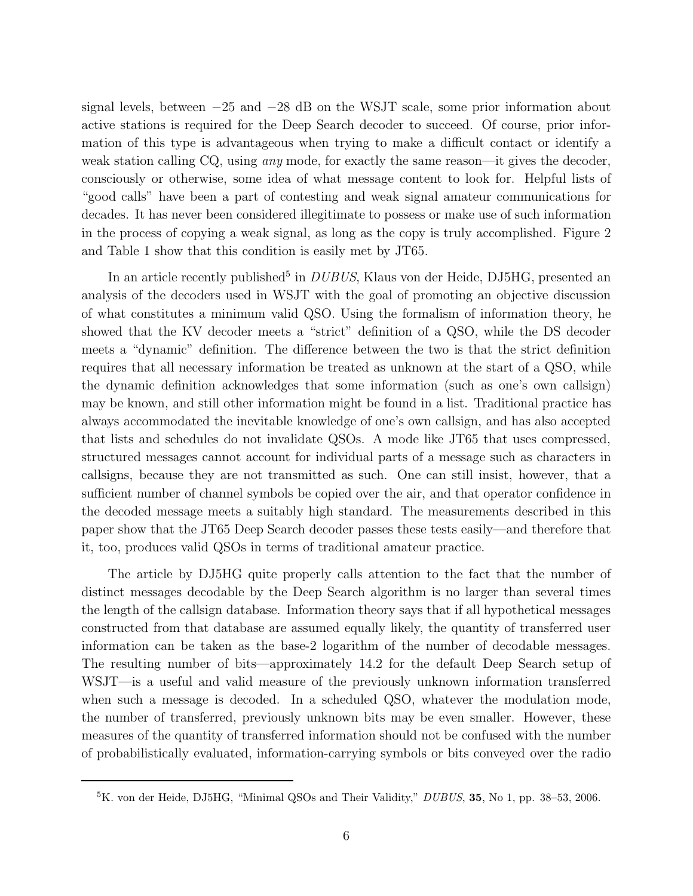signal levels, between *−*25 and *−*28 dB on the WSJT scale, some prior information about active stations is required for the Deep Search decoder to succeed. Of course, prior information of this type is advantageous when trying to make a difficult contact or identify a weak station calling CQ, using any mode, for exactly the same reason—it gives the decoder, consciously or otherwise, some idea of what message content to look for. Helpful lists of "good calls" have been a part of contesting and weak signal amateur communications for decades. It has never been considered illegitimate to possess or make use of such information in the process of copying a weak signal, as long as the copy is truly accomplished. Figure 2 and Table 1 show that this condition is easily met by JT65.

In an article recently published<sup>5</sup> in  $DUBUS$ , Klaus von der Heide, DJ5HG, presented an analysis of the decoders used in WSJT with the goal of promoting an objective discussion of what constitutes a minimum valid QSO. Using the formalism of information theory, he showed that the KV decoder meets a "strict" definition of a QSO, while the DS decoder meets a "dynamic" definition. The difference between the two is that the strict definition requires that all necessary information be treated as unknown at the start of a QSO, while the dynamic definition acknowledges that some information (such as one's own callsign) may be known, and still other information might be found in a list. Traditional practice has always accommodated the inevitable knowledge of one's own callsign, and has also accepted that lists and schedules do not invalidate QSOs. A mode like JT65 that uses compressed, structured messages cannot account for individual parts of a message such as characters in callsigns, because they are not transmitted as such. One can still insist, however, that a sufficient number of channel symbols be copied over the air, and that operator confidence in the decoded message meets a suitably high standard. The measurements described in this paper show that the JT65 Deep Search decoder passes these tests easily—and therefore that it, too, produces valid QSOs in terms of traditional amateur practice.

The article by DJ5HG quite properly calls attention to the fact that the number of distinct messages decodable by the Deep Search algorithm is no larger than several times the length of the callsign database. Information theory says that if all hypothetical messages constructed from that database are assumed equally likely, the quantity of transferred user information can be taken as the base-2 logarithm of the number of decodable messages. The resulting number of bits—approximately 14.2 for the default Deep Search setup of WSJT—is a useful and valid measure of the previously unknown information transferred when such a message is decoded. In a scheduled QSO, whatever the modulation mode, the number of transferred, previously unknown bits may be even smaller. However, these measures of the quantity of transferred information should not be confused with the number of probabilistically evaluated, information-carrying symbols or bits conveyed over the radio

<sup>5</sup>K. von der Heide, DJ5HG, "Minimal QSOs and Their Validity," *DUBUS*, **35**, No 1, pp. 38–53, 2006.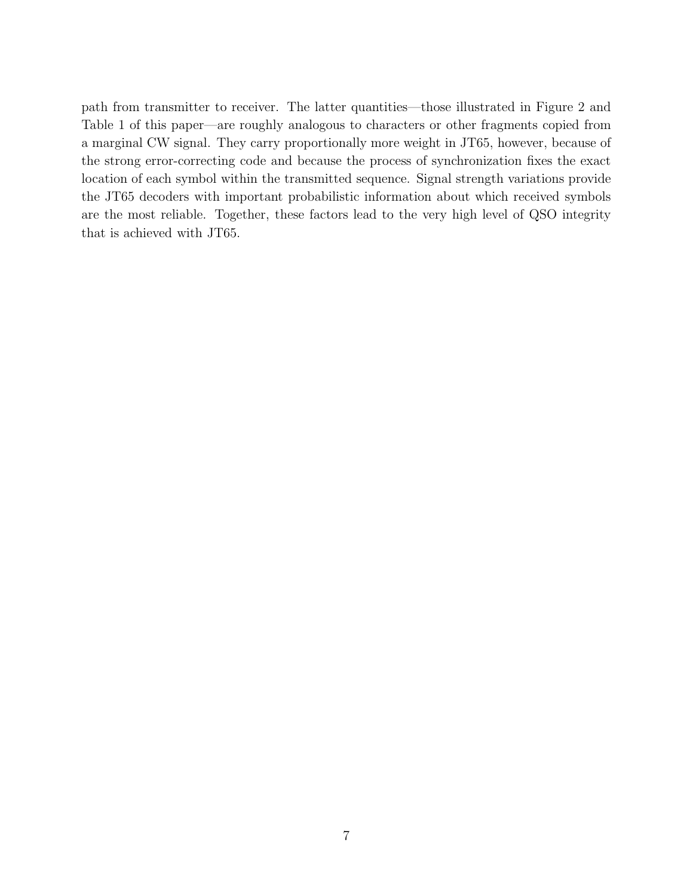path from transmitter to receiver. The latter quantities—those illustrated in Figure 2 and Table 1 of this paper—are roughly analogous to characters or other fragments copied from a marginal CW signal. They carry proportionally more weight in JT65, however, because of the strong error-correcting code and because the process of synchronization fixes the exact location of each symbol within the transmitted sequence. Signal strength variations provide the JT65 decoders with important probabilistic information about which received symbols are the most reliable. Together, these factors lead to the very high level of QSO integrity that is achieved with JT65.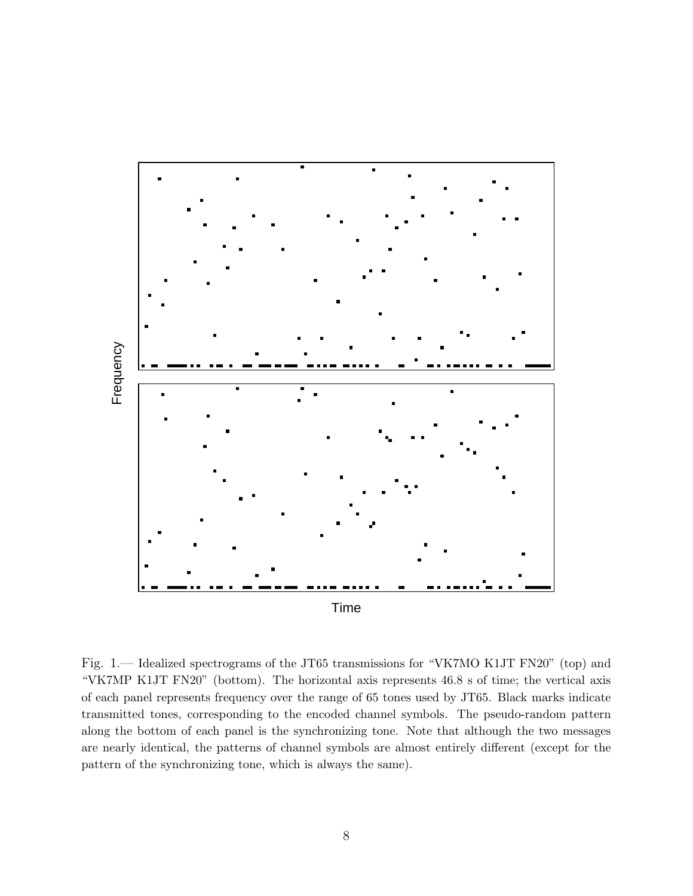

Fig. 1.— Idealized spectrograms of the JT65 transmissions for "VK7MO K1JT FN20" (top) and "VK7MP K1JT FN20" (bottom). The horizontal axis represents 46.8 s of time; the vertical axis of each panel represents frequency over the range of 65 tones used by JT65. Black marks indicate transmitted tones, corresponding to the encoded channel symbols. The pseudo-random pattern along the bottom of each panel is the synchronizing tone. Note that although the two messages are nearly identical, the patterns of channel symbols are almost entirely different (except for the pattern of the synchronizing tone, which is always the same).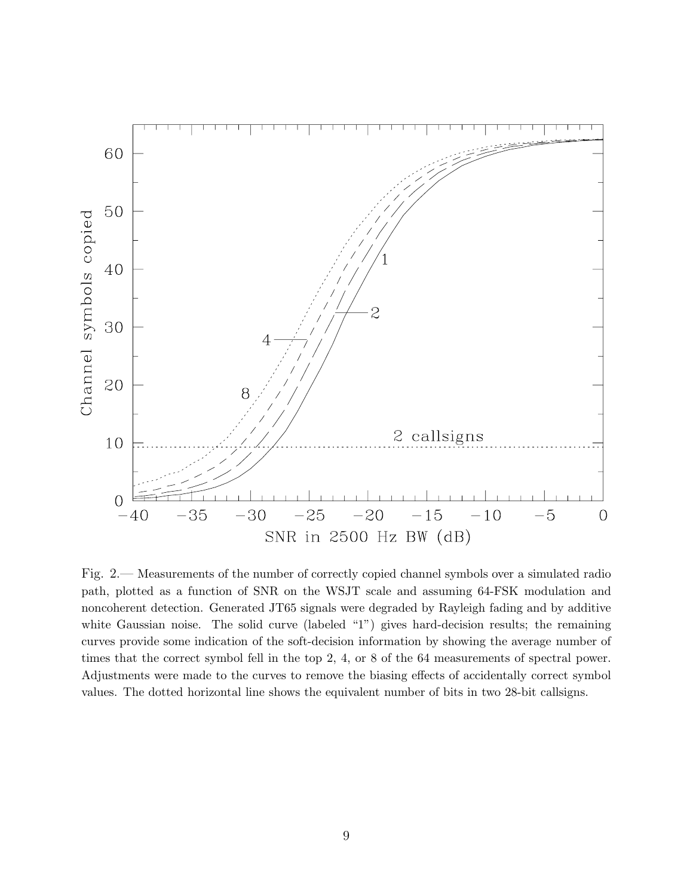

Fig. 2.— Measurements of the number of correctly copied channel symbols over a simulated radio path, plotted as a function of SNR on the WSJT scale and assuming 64-FSK modulation and noncoherent detection. Generated JT65 signals were degraded by Rayleigh fading and by additive white Gaussian noise. The solid curve (labeled "1") gives hard-decision results; the remaining curves provide some indication of the soft-decision information by showing the average number of times that the correct symbol fell in the top 2, 4, or 8 of the 64 measurements of spectral power. Adjustments were made to the curves to remove the biasing effects of accidentally correct symbol values. The dotted horizontal line shows the equivalent number of bits in two 28-bit callsigns.